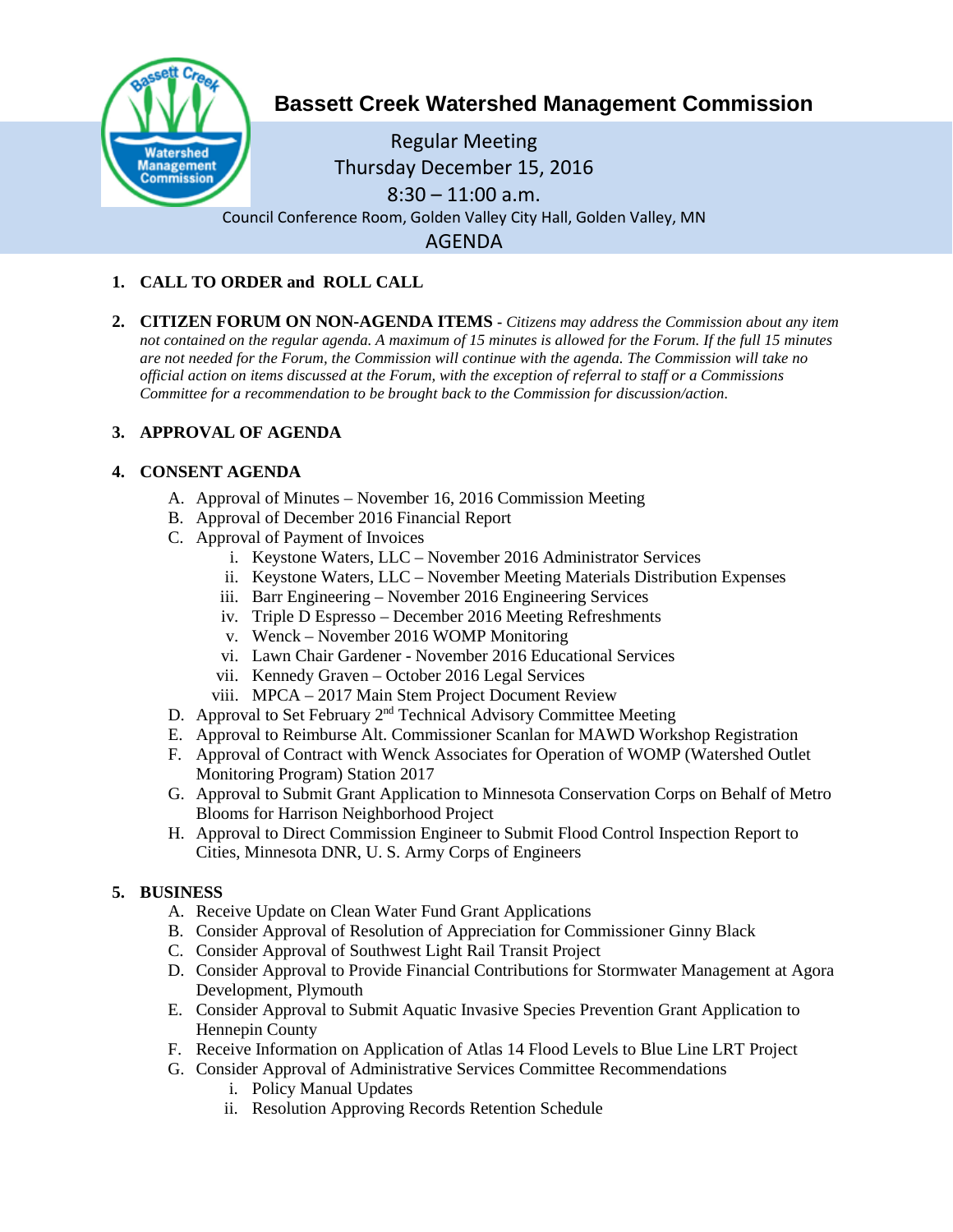

# **Bassett Creek Watershed Management Commission**

Regular Meeting Thursday December 15, 2016  $8:30 - 11:00$  a.m. Council Conference Room, Golden Valley City Hall, Golden Valley, MN AGENDA

## **1. CALL TO ORDER and ROLL CALL**

**2. CITIZEN FORUM ON NON-AGENDA ITEMS -** *Citizens may address the Commission about any item not contained on the regular agenda. A maximum of 15 minutes is allowed for the Forum. If the full 15 minutes are not needed for the Forum, the Commission will continue with the agenda. The Commission will take no official action on items discussed at the Forum, with the exception of referral to staff or a Commissions Committee for a recommendation to be brought back to the Commission for discussion/action.*

## **3. APPROVAL OF AGENDA**

## **4. CONSENT AGENDA**

- A. Approval of Minutes November 16, 2016 Commission Meeting
- B. Approval of December 2016 Financial Report
- C. Approval of Payment of Invoices
	- i. Keystone Waters, LLC November 2016 Administrator Services
	- ii. Keystone Waters, LLC November Meeting Materials Distribution Expenses
	- iii. Barr Engineering November 2016 Engineering Services
	- iv. Triple D Espresso December 2016 Meeting Refreshments
	- v. Wenck November 2016 WOMP Monitoring
	- vi. Lawn Chair Gardener November 2016 Educational Services
	- vii. Kennedy Graven October 2016 Legal Services
	- viii. MPCA 2017 Main Stem Project Document Review
- D. Approval to Set February 2<sup>nd</sup> Technical Advisory Committee Meeting
- E. Approval to Reimburse Alt. Commissioner Scanlan for MAWD Workshop Registration
- F. Approval of Contract with Wenck Associates for Operation of WOMP (Watershed Outlet Monitoring Program) Station 2017
- G. Approval to Submit Grant Application to Minnesota Conservation Corps on Behalf of Metro Blooms for Harrison Neighborhood Project
- H. Approval to Direct Commission Engineer to Submit Flood Control Inspection Report to Cities, Minnesota DNR, U. S. Army Corps of Engineers

## **5. BUSINESS**

- A. Receive Update on Clean Water Fund Grant Applications
- B. Consider Approval of Resolution of Appreciation for Commissioner Ginny Black
- C. Consider Approval of Southwest Light Rail Transit Project
- D. Consider Approval to Provide Financial Contributions for Stormwater Management at Agora Development, Plymouth
- E. Consider Approval to Submit Aquatic Invasive Species Prevention Grant Application to Hennepin County
- F. Receive Information on Application of Atlas 14 Flood Levels to Blue Line LRT Project
- G. Consider Approval of Administrative Services Committee Recommendations
	- i. Policy Manual Updates
	- ii. Resolution Approving Records Retention Schedule